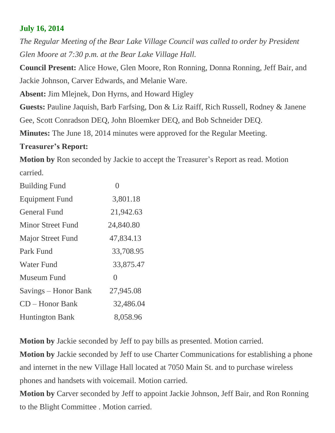# **July 16, 2014**

*The Regular Meeting of the Bear Lake Village Council was called to order by President Glen Moore at 7:30 p.m. at the Bear Lake Village Hall.*

**Council Present:** Alice Howe, Glen Moore, Ron Ronning, Donna Ronning, Jeff Bair, and Jackie Johnson, Carver Edwards, and Melanie Ware.

**Absent:** Jim Mlejnek, Don Hyrns, and Howard Higley

**Guests:** Pauline Jaquish, Barb Farfsing, Don & Liz Raiff, Rich Russell, Rodney & Janene Gee, Scott Conradson DEQ, John Bloemker DEQ, and Bob Schneider DEQ.

**Minutes:** The June 18, 2014 minutes were approved for the Regular Meeting.

### **Treasurer's Report:**

**Motion by** Ron seconded by Jackie to accept the Treasurer's Report as read. Motion carried.

| <b>Building Fund</b>     | $\bigcap$ |
|--------------------------|-----------|
| <b>Equipment Fund</b>    | 3,801.18  |
| <b>General Fund</b>      | 21,942.63 |
| <b>Minor Street Fund</b> | 24,840.80 |
| Major Street Fund        | 47,834.13 |
| Park Fund                | 33,708.95 |
| <b>Water Fund</b>        | 33,875.47 |
| Museum Fund              | 0         |
| Savings – Honor Bank     | 27,945.08 |
| $CD - Honor Bank$        | 32,486.04 |
| <b>Huntington Bank</b>   | 8,058.96  |

**Motion by** Jackie seconded by Jeff to pay bills as presented. Motion carried.

**Motion by** Jackie seconded by Jeff to use Charter Communications for establishing a phone and internet in the new Village Hall located at 7050 Main St. and to purchase wireless phones and handsets with voicemail. Motion carried.

**Motion by** Carver seconded by Jeff to appoint Jackie Johnson, Jeff Bair, and Ron Ronning to the Blight Committee . Motion carried.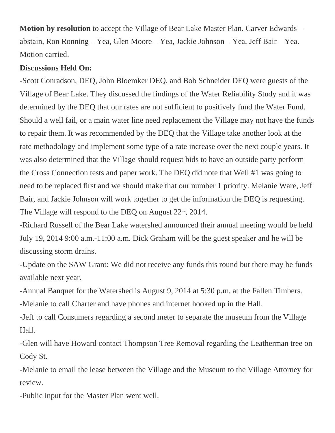**Motion by resolution** to accept the Village of Bear Lake Master Plan. Carver Edwards – abstain, Ron Ronning – Yea, Glen Moore – Yea, Jackie Johnson – Yea, Jeff Bair – Yea. Motion carried.

#### **Discussions Held On:**

-Scott Conradson, DEQ, John Bloemker DEQ, and Bob Schneider DEQ were guests of the Village of Bear Lake. They discussed the findings of the Water Reliability Study and it was determined by the DEQ that our rates are not sufficient to positively fund the Water Fund. Should a well fail, or a main water line need replacement the Village may not have the funds to repair them. It was recommended by the DEQ that the Village take another look at the rate methodology and implement some type of a rate increase over the next couple years. It was also determined that the Village should request bids to have an outside party perform the Cross Connection tests and paper work. The DEQ did note that Well #1 was going to need to be replaced first and we should make that our number 1 priority. Melanie Ware, Jeff Bair, and Jackie Johnson will work together to get the information the DEQ is requesting. The Village will respond to the DEQ on August  $22<sup>nd</sup>$ ,  $2014$ .

-Richard Russell of the Bear Lake watershed announced their annual meeting would be held July 19, 2014 9:00 a.m.-11:00 a.m. Dick Graham will be the guest speaker and he will be discussing storm drains.

-Update on the SAW Grant: We did not receive any funds this round but there may be funds available next year.

-Annual Banquet for the Watershed is August 9, 2014 at 5:30 p.m. at the Fallen Timbers.

-Melanie to call Charter and have phones and internet hooked up in the Hall.

-Jeff to call Consumers regarding a second meter to separate the museum from the Village Hall.

-Glen will have Howard contact Thompson Tree Removal regarding the Leatherman tree on Cody St.

-Melanie to email the lease between the Village and the Museum to the Village Attorney for review.

-Public input for the Master Plan went well.